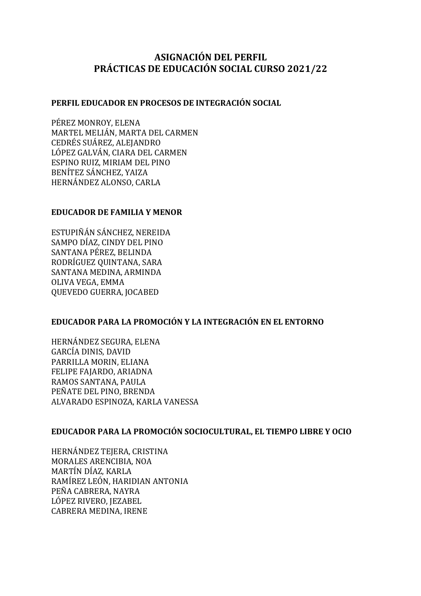# **ASIGNACIÓN DEL PERFIL PRÁCTICAS DE EDUCACIÓN SOCIAL CURSO 2021/22**

## **PERFIL EDUCADOR EN PROCESOS DE INTEGRACIÓN SOCIAL**

PÉREZ MONROY, ELENA MARTEL MELIÁN, MARTA DEL CARMEN CEDRÉS SUÁREZ, ALEJANDRO LÓPEZ GALVÁN, CIARA DEL CARMEN ESPINO RUIZ, MIRIAM DEL PINO BENÍTEZ SÁNCHEZ, YAIZA HERNÁNDEZ ALONSO, CARLA

## **EDUCADOR DE FAMILIA Y MENOR**

ESTUPIÑÁN SÁNCHEZ, NEREIDA SAMPO DÍAZ, CINDY DEL PINO SANTANA PÉREZ, BELINDA RODRÍGUEZ OUINTANA, SARA SANTANA MEDINA, ARMINDA OLIVA VEGA, EMMA QUEVEDO GUERRA, JOCABED

# **EDUCADOR PARA LA PROMOCIÓN Y LA INTEGRACIÓN EN EL ENTORNO**

HERNÁNDEZ SEGURA, ELENA GARCÍA DINIS, DAVID PARRILLA MORIN, ELIANA FELIPE FAJARDO, ARIADNA RAMOS SANTANA, PAULA PEÑATE DEL PINO, BRENDA ALVARADO ESPINOZA, KARLA VANESSA

# **EDUCADOR PARA LA PROMOCIÓN SOCIOCULTURAL, EL TIEMPO LIBRE Y OCIO**

HERNÁNDEZ TEJERA, CRISTINA MORALES ARENCIBIA, NOA MARTÍN DÍAZ, KARLA RAMÍREZ LEÓN, HARIDIAN ANTONIA PEÑA CABRERA, NAYRA LÓPEZ RIVERO, JEZABEL CABRERA MEDINA, IRENE